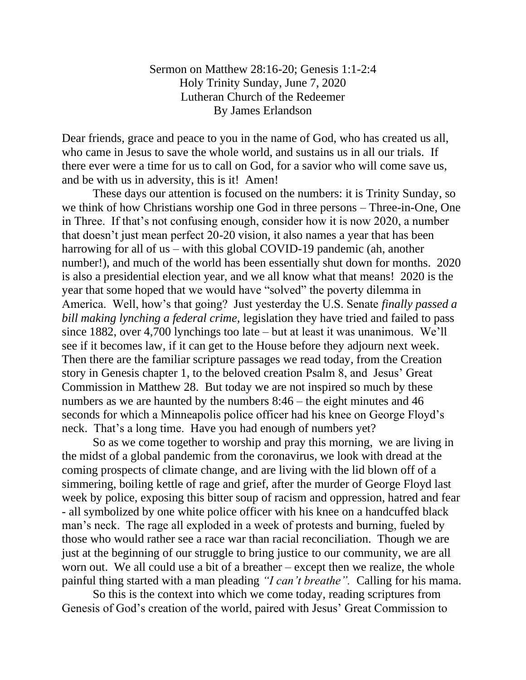Sermon on Matthew 28:16-20; Genesis 1:1-2:4 Holy Trinity Sunday, June 7, 2020 Lutheran Church of the Redeemer By James Erlandson

Dear friends, grace and peace to you in the name of God, who has created us all, who came in Jesus to save the whole world, and sustains us in all our trials. If there ever were a time for us to call on God, for a savior who will come save us, and be with us in adversity, this is it! Amen!

These days our attention is focused on the numbers: it is Trinity Sunday, so we think of how Christians worship one God in three persons – Three-in-One, One in Three. If that's not confusing enough, consider how it is now 2020, a number that doesn't just mean perfect 20-20 vision, it also names a year that has been harrowing for all of us – with this global COVID-19 pandemic (ah, another number!), and much of the world has been essentially shut down for months. 2020 is also a presidential election year, and we all know what that means! 2020 is the year that some hoped that we would have "solved" the poverty dilemma in America. Well, how's that going? Just yesterday the U.S. Senate *finally passed a bill making lynching a federal crime,* legislation they have tried and failed to pass since 1882, over 4,700 lynchings too late – but at least it was unanimous. We'll see if it becomes law, if it can get to the House before they adjourn next week. Then there are the familiar scripture passages we read today, from the Creation story in Genesis chapter 1, to the beloved creation Psalm 8, and Jesus' Great Commission in Matthew 28. But today we are not inspired so much by these numbers as we are haunted by the numbers 8:46 – the eight minutes and 46 seconds for which a Minneapolis police officer had his knee on George Floyd's neck. That's a long time. Have you had enough of numbers yet?

So as we come together to worship and pray this morning, we are living in the midst of a global pandemic from the coronavirus, we look with dread at the coming prospects of climate change, and are living with the lid blown off of a simmering, boiling kettle of rage and grief, after the murder of George Floyd last week by police, exposing this bitter soup of racism and oppression, hatred and fear - all symbolized by one white police officer with his knee on a handcuffed black man's neck. The rage all exploded in a week of protests and burning, fueled by those who would rather see a race war than racial reconciliation. Though we are just at the beginning of our struggle to bring justice to our community, we are all worn out. We all could use a bit of a breather – except then we realize, the whole painful thing started with a man pleading *"I can't breathe".* Calling for his mama.

So this is the context into which we come today, reading scriptures from Genesis of God's creation of the world, paired with Jesus' Great Commission to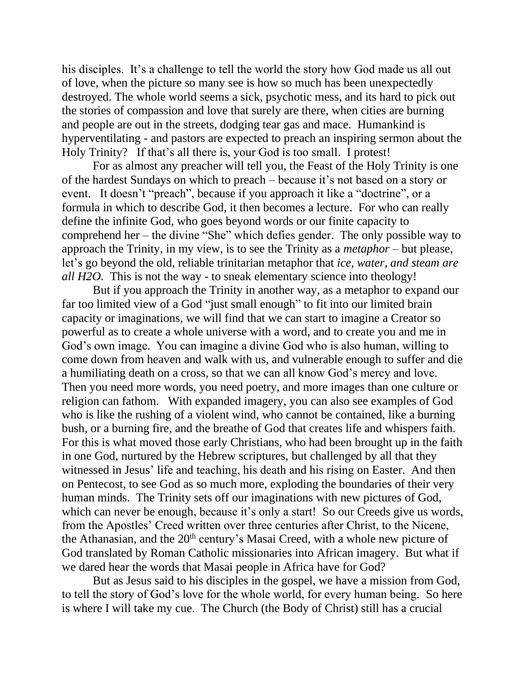his disciples. It's a challenge to tell the world the story how God made us all out of love, when the picture so many see is how so much has been unexpectedly destroyed. The whole world seems a sick, psychotic mess, and its hard to pick out the stories of compassion and love that surely are there, when cities are burning and people are out in the streets, dodging tear gas and mace. Humankind is hyperventilating - and pastors are expected to preach an inspiring sermon about the Holy Trinity? If that's all there is, your God is too small. I protest!

For as almost any preacher will tell you, the Feast of the Holy Trinity is one of the hardest Sundays on which to preach – because it's not based on a story or event. It doesn't "preach", because if you approach it like a "doctrine", or a formula in which to describe God, it then becomes a lecture. For who can really define the infinite God, who goes beyond words or our finite capacity to comprehend her – the divine "She" which defies gender. The only possible way to approach the Trinity, in my view, is to see the Trinity as a *metaphor* – but please, let's go beyond the old, reliable trinitarian metaphor that *ice, water, and steam are all H2O.* This is not the way - to sneak elementary science into theology!

But if you approach the Trinity in another way, as a metaphor to expand our far too limited view of a God "just small enough" to fit into our limited brain capacity or imaginations, we will find that we can start to imagine a Creator so powerful as to create a whole universe with a word, and to create you and me in God's own image. You can imagine a divine God who is also human, willing to come down from heaven and walk with us, and vulnerable enough to suffer and die a humiliating death on a cross, so that we can all know God's mercy and love. Then you need more words, you need poetry, and more images than one culture or religion can fathom. With expanded imagery, you can also see examples of God who is like the rushing of a violent wind, who cannot be contained, like a burning bush, or a burning fire, and the breathe of God that creates life and whispers faith. For this is what moved those early Christians, who had been brought up in the faith in one God, nurtured by the Hebrew scriptures, but challenged by all that they witnessed in Jesus' life and teaching, his death and his rising on Easter. And then on Pentecost, to see God as so much more, exploding the boundaries of their very human minds. The Trinity sets off our imaginations with new pictures of God, which can never be enough, because it's only a start! So our Creeds give us words, from the Apostles' Creed written over three centuries after Christ, to the Nicene, the Athanasian, and the  $20<sup>th</sup>$  century's Masai Creed, with a whole new picture of God translated by Roman Catholic missionaries into African imagery. But what if we dared hear the words that Masai people in Africa have for God?

But as Jesus said to his disciples in the gospel, we have a mission from God, to tell the story of God's love for the whole world, for every human being. So here is where I will take my cue. The Church (the Body of Christ) still has a crucial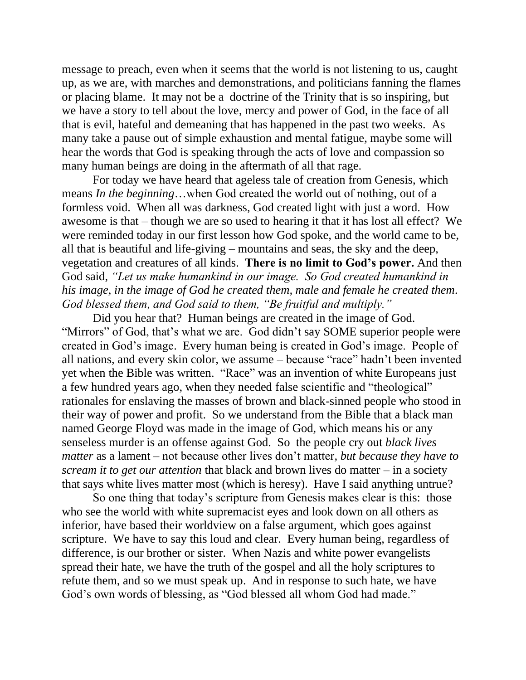message to preach, even when it seems that the world is not listening to us, caught up, as we are, with marches and demonstrations, and politicians fanning the flames or placing blame. It may not be a doctrine of the Trinity that is so inspiring, but we have a story to tell about the love, mercy and power of God, in the face of all that is evil, hateful and demeaning that has happened in the past two weeks. As many take a pause out of simple exhaustion and mental fatigue, maybe some will hear the words that God is speaking through the acts of love and compassion so many human beings are doing in the aftermath of all that rage.

For today we have heard that ageless tale of creation from Genesis, which means *In the beginning*…when God created the world out of nothing, out of a formless void. When all was darkness, God created light with just a word. How awesome is that – though we are so used to hearing it that it has lost all effect? We were reminded today in our first lesson how God spoke, and the world came to be, all that is beautiful and life-giving – mountains and seas, the sky and the deep, vegetation and creatures of all kinds. **There is no limit to God's power.** And then God said, *"Let us make humankind in our image. So God created humankind in his image, in the image of God he created them, male and female he created them. God blessed them, and God said to them, "Be fruitful and multiply."*

Did you hear that? Human beings are created in the image of God. "Mirrors" of God, that's what we are. God didn't say SOME superior people were created in God's image. Every human being is created in God's image. People of all nations, and every skin color, we assume – because "race" hadn't been invented yet when the Bible was written. "Race" was an invention of white Europeans just a few hundred years ago, when they needed false scientific and "theological" rationales for enslaving the masses of brown and black-sinned people who stood in their way of power and profit. So we understand from the Bible that a black man named George Floyd was made in the image of God, which means his or any senseless murder is an offense against God. So the people cry out *black lives matter* as a lament – not because other lives don't matter*, but because they have to scream it to get our attention* that black and brown lives do matter – in a society that says white lives matter most (which is heresy). Have I said anything untrue?

So one thing that today's scripture from Genesis makes clear is this: those who see the world with white supremacist eyes and look down on all others as inferior, have based their worldview on a false argument, which goes against scripture. We have to say this loud and clear. Every human being, regardless of difference, is our brother or sister. When Nazis and white power evangelists spread their hate, we have the truth of the gospel and all the holy scriptures to refute them, and so we must speak up. And in response to such hate, we have God's own words of blessing, as "God blessed all whom God had made."